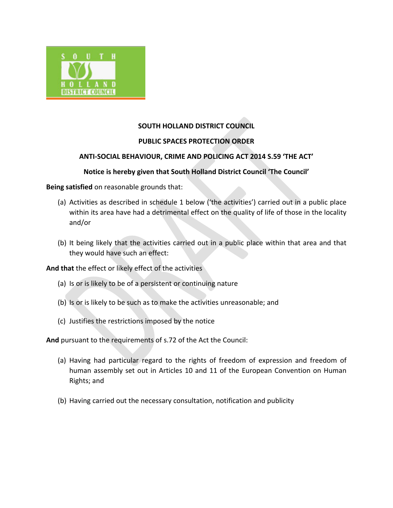

# **SOUTH HOLLAND DISTRICT COUNCIL**

# **PUBLIC SPACES PROTECTION ORDER**

# **ANTI-SOCIAL BEHAVIOUR, CRIME AND POLICING ACT 2014 S.59 'THE ACT'**

## **Notice is hereby given that South Holland District Council 'The Council'**

**Being satisfied** on reasonable grounds that:

- (a) Activities as described in schedule 1 below ('the activities') carried out in a public place within its area have had a detrimental effect on the quality of life of those in the locality and/or
- (b) It being likely that the activities carried out in a public place within that area and that they would have such an effect:

**And that** the effect or likely effect of the activities

- (a) Is or is likely to be of a persistent or continuing nature
- (b) Is or is likely to be such as to make the activities unreasonable; and
- (c) Justifies the restrictions imposed by the notice

**And** pursuant to the requirements of s.72 of the Act the Council:

- (a) Having had particular regard to the rights of freedom of expression and freedom of human assembly set out in Articles 10 and 11 of the European Convention on Human Rights; and
- (b) Having carried out the necessary consultation, notification and publicity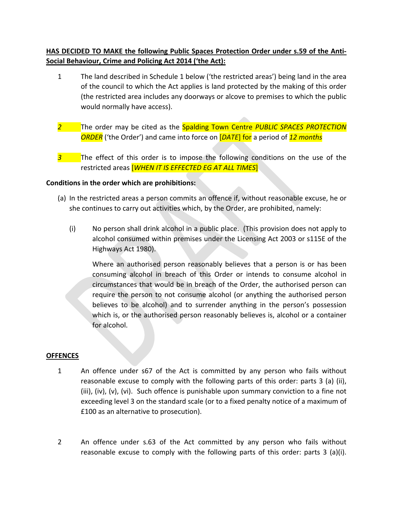# **HAS DECIDED TO MAKE the following Public Spaces Protection Order under s.59 of the Anti-Social Behaviour, Crime and Policing Act 2014 ('the Act):**

- 1 The land described in Schedule 1 below ('the restricted areas') being land in the area of the council to which the Act applies is land protected by the making of this order (the restricted area includes any doorways or alcove to premises to which the public would normally have access).
- *2* The order may be cited as the Spalding Town Centre *PUBLIC SPACES PROTECTION ORDER* ('the Order') and came into force on [*DATE*] for a period of *12 months*
- **3** The effect of this order is to impose the following conditions on the use of the restricted areas [*WHEN IT IS EFFECTED EG AT ALL TIMES*]

### **Conditions in the order which are prohibitions:**

- (a) In the restricted areas a person commits an offence if, without reasonable excuse, he or she continues to carry out activities which, by the Order, are prohibited, namely:
	- (i) No person shall drink alcohol in a public place. (This provision does not apply to alcohol consumed within premises under the Licensing Act 2003 or s115E of the Highways Act 1980).

Where an authorised person reasonably believes that a person is or has been consuming alcohol in breach of this Order or intends to consume alcohol in circumstances that would be in breach of the Order, the authorised person can require the person to not consume alcohol (or anything the authorised person believes to be alcohol) and to surrender anything in the person's possession which is, or the authorised person reasonably believes is, alcohol or a container for alcohol.

#### **OFFENCES**

- 1 An offence under s67 of the Act is committed by any person who fails without reasonable excuse to comply with the following parts of this order: parts 3 (a) (ii), (iii), (iv), (v), (vi). Such offence is punishable upon summary conviction to a fine not exceeding level 3 on the standard scale (or to a fixed penalty notice of a maximum of £100 as an alternative to prosecution).
- 2 An offence under s.63 of the Act committed by any person who fails without reasonable excuse to comply with the following parts of this order: parts 3 (a)(i).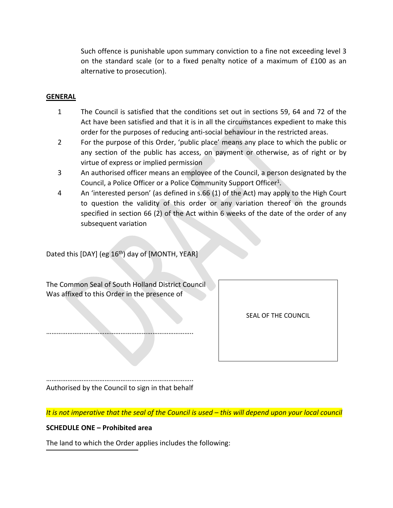Such offence is punishable upon summary conviction to a fine not exceeding level 3 on the standard scale (or to a fixed penalty notice of a maximum of £100 as an alternative to prosecution).

#### **GENERAL**

- 1 The Council is satisfied that the conditions set out in sections 59, 64 and 72 of the Act have been satisfied and that it is in all the circumstances expedient to make this order for the purposes of reducing anti-social behaviour in the restricted areas.
- 2 For the purpose of this Order, 'public place' means any place to which the public or any section of the public has access, on payment or otherwise, as of right or by virtue of express or implied permission
- 3 An authorised officer means an employee of the Council, a person designated by the Council, a Police Officer or a Police Community Support Officer<sup>1</sup>.
- 4 An 'interested person' (as defined in s.66 (1) of the Act) may apply to the High Court to question the validity of this order or any variation thereof on the grounds specified in section 66 (2) of the Act within 6 weeks of the date of the order of any subsequent variation

Dated this [DAY] (eg 16<sup>th</sup>) day of [MONTH, YEAR]

The Common Seal of South Holland District Council Was affixed to this Order in the presence of

………………………………………………………………………..

SEAL OF THE COUNCIL

……………………………………………………………………….. Authorised by the Council to sign in that behalf

It is not imperative that the seal of the Council is used - this will depend upon your local council

#### **SCHEDULE ONE – Prohibited area**

The land to which the Order applies includes the following: